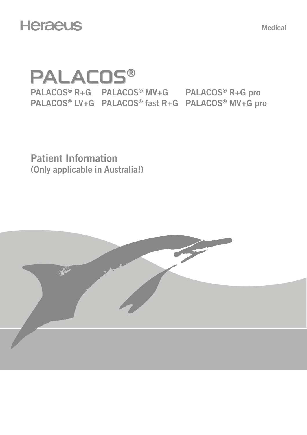# **Heraeus**

Medical

# **PALACOS®** PALACOS® R+G PALACOS® MV+G PALACOS® R+G pro PALACOS® LV+G PALACOS® fast R+G PALACOS® MV+G pro

Patient Information (Only applicable in Australia!)

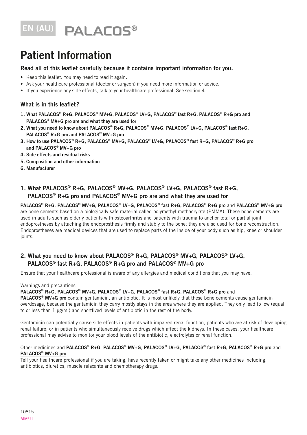# EN (AU) PALACOS®

# Patient Information

#### Read all of this leaflet carefully because it contains important information for you.

- Keep this leaflet. You may need to read it again.
- Ask your healthcare professional (doctor or surgeon) if you need more information or advice.
- If you experience any side effects, talk to your healthcare professional. See section 4.

## What is in this leaflet?

- 1. What PALACOS® R+G, PALACOS® MV+G, PALACOS® LV+G, PALACOS® fast R+G, PALACOS® R+G pro and PALACOS® MV+G pro are and what they are used for
- 2. What you need to know about PALACOS® R+G, PALACOS® MV+G, PALACOS® LV+G, PALACOS® fast R+G, PALACOS® R+G pro and PALACOS® MV+G pro
- 3. How to use PALACOS® R+G, PALACOS® MV+G, PALACOS® LV+G, PALACOS® fast R+G, PALACOS® R+G pro and PALACOS® MV+G pro
- 4. Side effects and residual risks
- 5. Composition and other information
- 6. Manufacturer

## 1. What PALACOS® R+G, PALACOS® MV+G, PALACOS® LV+G, PALACOS® fast R+G, PALACOS® R+G pro and PALACOS® MV+G pro are and what they are used for

PALACOS® R+G, PALACOS® MV+G, PALACOS® LV+G, PALACOS® fast R+G, PALACOS® R+G pro and PALACOS® MV+G pro are bone cements based on a biologically safe material called polymethyl methacrylate (PMMA). These bone cements are used in adults such as elderly patients with osteoarthritis and patients with trauma to anchor total or partial joint endoprostheses by attaching the endoprosthesis firmly and stably to the bone; they are also used for bone reconstruction. Endoprostheses are medical devices that are used to replace parts of the inside of your body such as hip, knee or shoulder ioints.

### 2. What you need to know about PALACOS® R+G, PALACOS® MV+G, PALACOS® LV+G, PALACOS® fast R+G, PALACOS® R+G pro and PALACOS® MV+G pro

Ensure that your healthcare professional is aware of any allergies and medical conditions that you may have.

#### Warnings and precautions

#### PALACOS® R+G, PALACOS® MV+G, PALACOS® LV+G, PALACOS® fast R+G, PALACOS® R+G pro and

PALACOS<sup>®</sup> MV+G pro contain gentamicin, an antibiotic. It is most unlikely that these bone cements cause gentamicin overdosage, because the gentamicin they carry mostly stays in the area where they are applied. They only lead to low (equal to or less than 1 μg/ml) and shortlived levels of antibiotic in the rest of the body.

Gentamicin can potentially cause side effects in patients with impaired renal function, patients who are at risk of developing renal failure, or in patients who simultaneously receive drugs which affect the kidneys. In these cases, your healthcare professional may advise to monitor your blood levels of the antibiotic, electrolytes or renal function.

#### Other medicines and PALACOS® R+G, PALACOS® MV+G, PALACOS® LV+G, PALACOS® fast R+G, PALACOS® R+G pro and PALACOS® MV+G pro

Tell your healthcare professional if you are taking, have recently taken or might take any other medicines including: antibiotics, diuretics, muscle relaxants and chemotherapy drugs.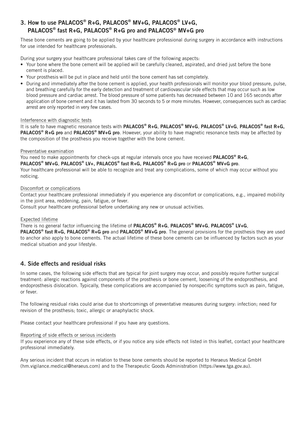# 3. How to use PALACOS® R+G, PALACOS® MV+G, PALACOS® LV+G, PALACOS® fast R+G, PALACOS® R+G pro and PALACOS® MV+G pro

These bone cements are going to be applied by your healthcare professional during surgery in accordance with instructions for use intended for healthcare professionals.

During your surgery your healthcare professional takes care of the following aspects:

- Your bone where the bone cement will be applied will be carefully cleaned, aspirated, and dried just before the bone cement is placed.
- Your prosthesis will be put in place and held until the bone cement has set completely.
- During and immediately after the bone cement is applied, your health professionals will monitor your blood pressure, pulse, and breathing carefully for the early detection and treatment of cardiovascular side effects that may occur such as low blood pressure and cardiac arrest. The blood pressure of some patients has decreased between 10 and 165 seconds after application of bone cement and it has lasted from 30 seconds to 5 or more minutes. However, consequences such as cardiac arrest are only reported in very few cases.

#### Interference with diagnostic tests

It is safe to have magnetic resonance tests with PALACOS® R+G, PALACOS® MV+G, PALACOS® LV+G. PALACOS® fast R+G. PALACOS® R+G pro and PALACOS® MV+G pro. However, your ability to have magnetic resonance tests may be affected by the composition of the prosthesis you receive together with the bone cement.

#### Preventative examination

You need to make appointments for check-ups at regular intervals once you have received **PALACOS<sup>®</sup> R+G**,

PALACOS® MV+G, PALACOS® LV+, PALACOS® fast R+G, PALACOS® R+G pro or PALACOS® MV+G pro.

Your healthcare professional will be able to recognize and treat any complications, some of which may occur without you noticing.

#### Discomfort or complications

Contact your healthcare professional immediately if you experience any discomfort or complications, e.g., impaired mobility in the joint area, reddening, pain, fatigue, or fever.

Consult your healthcare professional before undertaking any new or unusual activities.

#### Expected lifetime

There is no general factor influencing the lifetime of PALACOS® R+G, PALACOS® MV+G, PALACOS® LV+G,

PALACOS<sup>®</sup> fast R+G, PALACOS<sup>®</sup> R+G pro and PALACOS<sup>®</sup> MV+G pro. The general provisions for the prosthesis they are used to anchor also apply to bone cements. The actual lifetime of these bone cements can be influenced by factors such as your medical situation and your lifestyle.

#### 4. Side effects and residual risks

In some cases, the following side effects that are typical for joint surgery may occur, and possibly require further surgical treatment: allergic reactions against components of the prosthesis or bone cement, loosening of the endoprosthesis, and endoprosthesis dislocation. Typically, these complications are accompanied by nonspecific symptoms such as pain, fatigue, or fever.

The following residual risks could arise due to shortcomings of preventative measures during surgery: infection; need for revision of the prosthesis; toxic, allergic or anaphylactic shock.

Please contact your healthcare professional if you have any questions.

#### Reporting of side effects or serious incidents

If you experience any of these side effects, or if you notice any side effects not listed in this leaflet, contact your healthcare professional immediately.

Any serious incident that occurs in relation to these bone cements should be reported to Heraeus Medical GmbH (hm.vigilance.medical@heraeus.com) and to the Therapeutic Goods Administration (https://www.tga.gov.au).